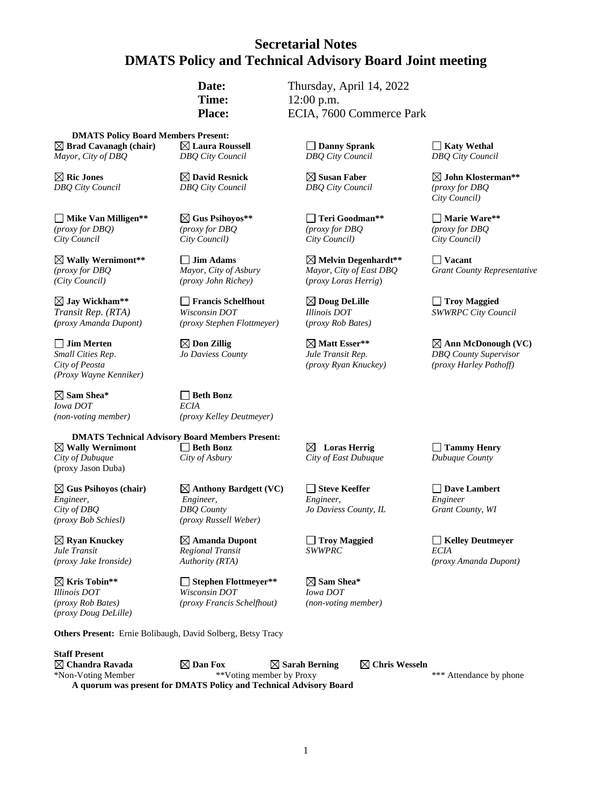# **Secretarial Notes DMATS Policy and Technical Advisory Board Joint meeting**

**Date:** Thursday, April 14, 2022 **Time:** 12:00 p.m. **Place:** ECIA, 7600 Commerce Park

**DMATS Policy Board Members Present: Brad Cavanagh (chair) Laura Roussell Danny Sprank Katy Wethal** *Mayor, City of DBQ DBQ City Council DBQ City Council DBQ City Council*

**Mike Van Milligen\*\* Gus Psihoyos\*\* Teri Goodman\*\* Marie Ware\*\*** *(proxy for DBQ) (proxy for DBQ (proxy for DBQ (proxy for DBQ City Council City Council) City Council) City Council)*

**Wally Wernimont\*\* Jim Adams Melvin Degenhardt\*\* Vacant** *(City Council) (proxy John Richey)* (*proxy Loras Herrig*)

*(proxy Amanda Dupont) (proxy Stephen Flottmeyer)* (*proxy Rob Bates)*

*City of Peosta (proxy Ryan Knuckey) (proxy Harley Pothoff) (Proxy Wayne Kenniker)*

**Sam Shea\* Beth Bonz**  *Iowa DOT ECIA*

(proxy Jason Duba)

 $\boxtimes$  **Gus Psihoyos** (chair)  $\boxtimes$  **Anthony Bardgett** (VC)  $\Box$  Steve Keeffer  $\Box$  Dave Lambert *(proxy Bob Schiesl) (proxy Russell Weber)*

*Jule Transit Regional Transit SWWPRC ECIA*

*(proxy Doug DeLille)*

*DBQ City Council DBQ City Council DBQ City Council (proxy for DBQ*

**Jay Wickham\*\* Francis Schelfhout Doug DeLille Troy Maggied** *Transit Rep. (RTA) Wisconsin DOT Illinois DOT SWWRPC City Council* 

*(non-voting member) (proxy Kelley Deutmeyer)*

**DMATS Technical Advisory Board Members Present: Wally Wernimont Beth Bonz Loras Herrig Tammy Henry** *City of Dubuque City of Asbury City of East Dubuque Dubuque County*

*Engineer, Engineer, Engineer, Engineer City of DBQ DBQ County Jo Daviess County, IL Grant County, WI*

**Kris Tobin\*\* Stephen Flottmeyer\*\* Sam Shea\*** *Illinois DOT Wisconsin DOT Iowa DOT (proxy Rob Bates) (proxy Francis Schelfhout) (non-voting member)*

**Others Present:** Ernie Bolibaugh, David Solberg, Betsy Tracy

**Staff Present**  $\boxtimes$  Chandra Ravada  $\boxtimes$  Dan Fox  $\boxtimes$  Sarah Berning  $\boxtimes$  Chris Wesseln \*Non-Voting Member \*\*Voting member by Proxy \*\*\* Attendance by phone **A quorum was present for DMATS Policy and Technical Advisory Board**

**Ric Jones David Resnick Susan Faber John Klosterman\*\***  *City Council)*

*(proxy for DBQ Mayor, City of Asbury Mayor, City of East DBQ Grant County Representative*

 $\Box$  **Jim Merten**  $\Box$  **Don Zillig**  $\Box$  **Matt Esser\*\***  $\Box$  **Mann** McDonough (VC) *Small Cities Rep*. *Jo Daviess County Jule Transit Rep. DBQ County Supervisor*

**Requision Amanda Dupont Amanda Dupont C Replies Troy Maggied Amanda Dupont** *SWWPRC ECIA ECIA (proxy Jake Ironside) Authority (RTA) (proxy Amanda Dupont)*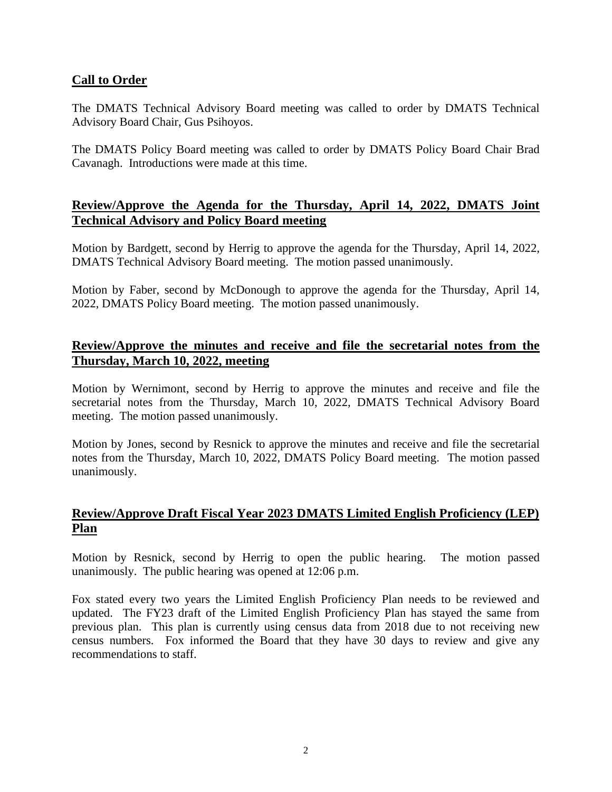### **Call to Order**

The DMATS Technical Advisory Board meeting was called to order by DMATS Technical Advisory Board Chair, Gus Psihoyos.

The DMATS Policy Board meeting was called to order by DMATS Policy Board Chair Brad Cavanagh. Introductions were made at this time.

# **Review/Approve the Agenda for the Thursday, April 14, 2022, DMATS Joint Technical Advisory and Policy Board meeting**

Motion by Bardgett, second by Herrig to approve the agenda for the Thursday, April 14, 2022, DMATS Technical Advisory Board meeting. The motion passed unanimously.

Motion by Faber, second by McDonough to approve the agenda for the Thursday, April 14, 2022, DMATS Policy Board meeting. The motion passed unanimously.

### **Review/Approve the minutes and receive and file the secretarial notes from the Thursday, March 10, 2022, meeting**

Motion by Wernimont, second by Herrig to approve the minutes and receive and file the secretarial notes from the Thursday, March 10, 2022, DMATS Technical Advisory Board meeting. The motion passed unanimously.

Motion by Jones, second by Resnick to approve the minutes and receive and file the secretarial notes from the Thursday, March 10, 2022, DMATS Policy Board meeting. The motion passed unanimously.

# **Review/Approve Draft Fiscal Year 2023 DMATS Limited English Proficiency (LEP) Plan**

Motion by Resnick, second by Herrig to open the public hearing. The motion passed unanimously. The public hearing was opened at 12:06 p.m.

Fox stated every two years the Limited English Proficiency Plan needs to be reviewed and updated. The FY23 draft of the Limited English Proficiency Plan has stayed the same from previous plan. This plan is currently using census data from 2018 due to not receiving new census numbers. Fox informed the Board that they have 30 days to review and give any recommendations to staff.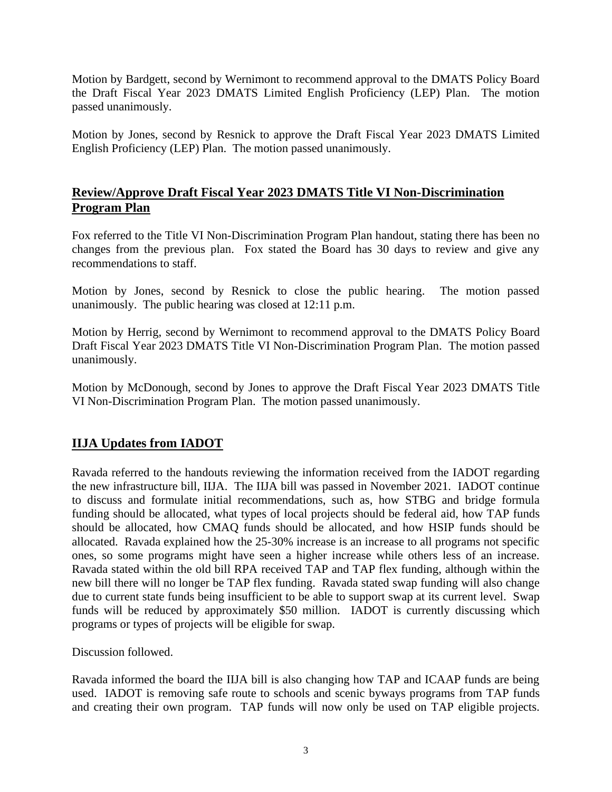Motion by Bardgett, second by Wernimont to recommend approval to the DMATS Policy Board the Draft Fiscal Year 2023 DMATS Limited English Proficiency (LEP) Plan. The motion passed unanimously.

Motion by Jones, second by Resnick to approve the Draft Fiscal Year 2023 DMATS Limited English Proficiency (LEP) Plan. The motion passed unanimously.

### **Review/Approve Draft Fiscal Year 2023 DMATS Title VI Non-Discrimination Program Plan**

Fox referred to the Title VI Non-Discrimination Program Plan handout, stating there has been no changes from the previous plan. Fox stated the Board has 30 days to review and give any recommendations to staff.

Motion by Jones, second by Resnick to close the public hearing. The motion passed unanimously. The public hearing was closed at 12:11 p.m.

Motion by Herrig, second by Wernimont to recommend approval to the DMATS Policy Board Draft Fiscal Year 2023 DMATS Title VI Non-Discrimination Program Plan. The motion passed unanimously.

Motion by McDonough, second by Jones to approve the Draft Fiscal Year 2023 DMATS Title VI Non-Discrimination Program Plan. The motion passed unanimously.

# **IIJA Updates from IADOT**

Ravada referred to the handouts reviewing the information received from the IADOT regarding the new infrastructure bill, IIJA. The IIJA bill was passed in November 2021. IADOT continue to discuss and formulate initial recommendations, such as, how STBG and bridge formula funding should be allocated, what types of local projects should be federal aid, how TAP funds should be allocated, how CMAQ funds should be allocated, and how HSIP funds should be allocated. Ravada explained how the 25-30% increase is an increase to all programs not specific ones, so some programs might have seen a higher increase while others less of an increase. Ravada stated within the old bill RPA received TAP and TAP flex funding, although within the new bill there will no longer be TAP flex funding. Ravada stated swap funding will also change due to current state funds being insufficient to be able to support swap at its current level. Swap funds will be reduced by approximately \$50 million. IADOT is currently discussing which programs or types of projects will be eligible for swap.

Discussion followed.

Ravada informed the board the IIJA bill is also changing how TAP and ICAAP funds are being used. IADOT is removing safe route to schools and scenic byways programs from TAP funds and creating their own program. TAP funds will now only be used on TAP eligible projects.